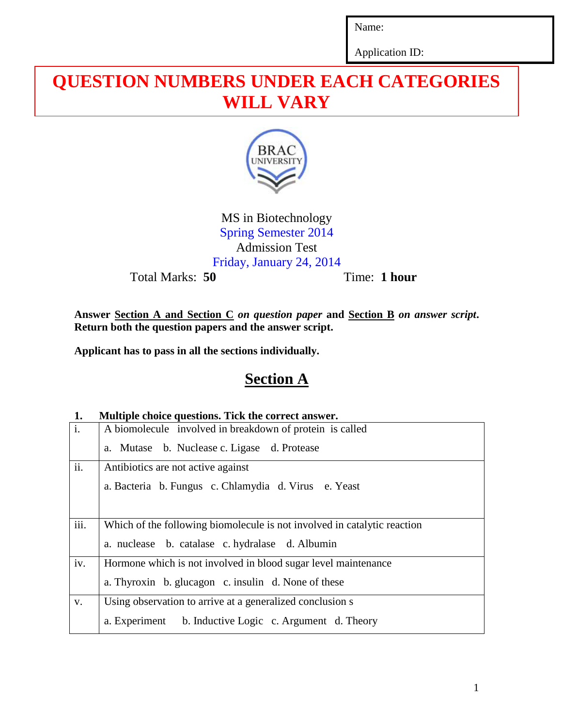Name:

Application ID:

# **QUESTION NUMBERS UNDER EACH CATEGORIES WILL VARY**



MS in Biotechnology Spring Semester 2014 Admission Test Friday, January 24, 2014

Total Marks: **50** Time: **1 hour** 

**Answer Section A and Section C** *on question paper* **and Section B** *on answer script***. Return both the question papers and the answer script.**

**Applicant has to pass in all the sections individually.**

## **Section A**

#### **1. Multiple choice questions. Tick the correct answer.**

| $\mathbf{i}$ . | A biomolecule involved in breakdown of protein is called                 |
|----------------|--------------------------------------------------------------------------|
|                | a. Mutase b. Nuclease c. Ligase d. Protease                              |
| ii.            | Antibiotics are not active against                                       |
|                | a. Bacteria b. Fungus c. Chlamydia d. Virus e. Yeast                     |
| iii.           | Which of the following biomolecule is not involved in catalytic reaction |
|                | a. nuclease b. catalase c. hydralase d. Albumin                          |
| iv.            | Hormone which is not involved in blood sugar level maintenance           |
|                | a. Thyroxin b. glucagon c. insulin d. None of these                      |
| V.             | Using observation to arrive at a generalized conclusion s                |
|                | a. Experiment b. Inductive Logic c. Argument d. Theory                   |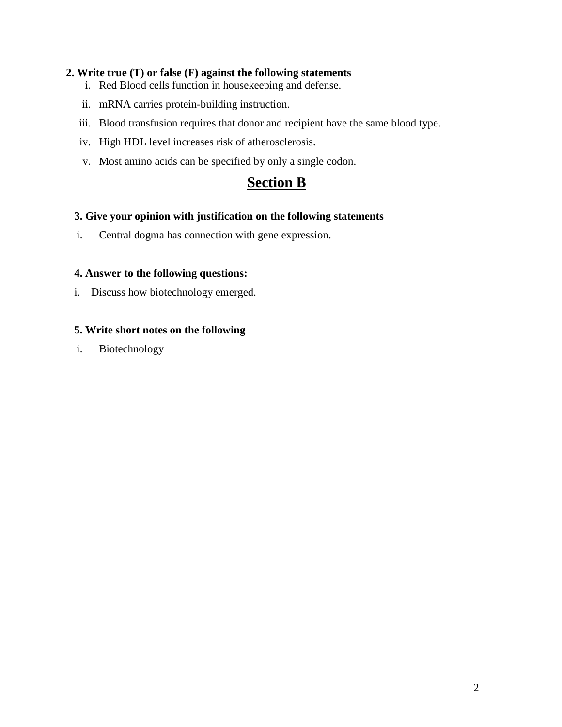#### **2. Write true (T) or false (F) against the following statements**

- i. Red Blood cells function in housekeeping and defense.
- ii. mRNA carries protein-building instruction.
- iii. Blood transfusion requires that donor and recipient have the same blood type.
- iv. High HDL level increases risk of atherosclerosis.
- v. Most amino acids can be specified by only a single codon.

### **Section B**

#### **3. Give your opinion with justification on the following statements**

i. Central dogma has connection with gene expression.

#### **4. Answer to the following questions:**

i. Discuss how biotechnology emerged.

#### **5. Write short notes on the following**

i. Biotechnology